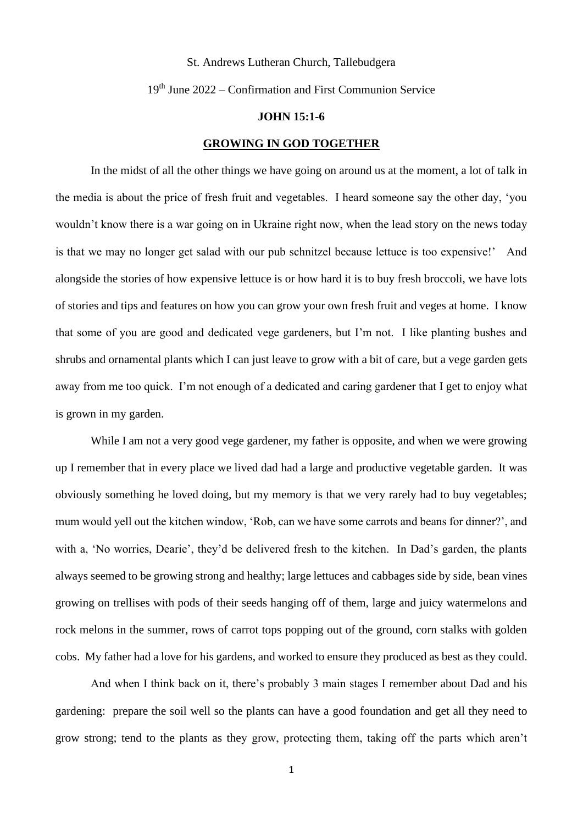#### St. Andrews Lutheran Church, Tallebudgera

### 19th June 2022 – Confirmation and First Communion Service

#### **JOHN 15:1-6**

#### **GROWING IN GOD TOGETHER**

In the midst of all the other things we have going on around us at the moment, a lot of talk in the media is about the price of fresh fruit and vegetables. I heard someone say the other day, 'you wouldn't know there is a war going on in Ukraine right now, when the lead story on the news today is that we may no longer get salad with our pub schnitzel because lettuce is too expensive!' And alongside the stories of how expensive lettuce is or how hard it is to buy fresh broccoli, we have lots of stories and tips and features on how you can grow your own fresh fruit and veges at home. I know that some of you are good and dedicated vege gardeners, but I'm not. I like planting bushes and shrubs and ornamental plants which I can just leave to grow with a bit of care, but a vege garden gets away from me too quick. I'm not enough of a dedicated and caring gardener that I get to enjoy what is grown in my garden.

While I am not a very good vege gardener, my father is opposite, and when we were growing up I remember that in every place we lived dad had a large and productive vegetable garden. It was obviously something he loved doing, but my memory is that we very rarely had to buy vegetables; mum would yell out the kitchen window, 'Rob, can we have some carrots and beans for dinner?', and with a, 'No worries, Dearie', they'd be delivered fresh to the kitchen. In Dad's garden, the plants always seemed to be growing strong and healthy; large lettuces and cabbages side by side, bean vines growing on trellises with pods of their seeds hanging off of them, large and juicy watermelons and rock melons in the summer, rows of carrot tops popping out of the ground, corn stalks with golden cobs. My father had a love for his gardens, and worked to ensure they produced as best as they could.

And when I think back on it, there's probably 3 main stages I remember about Dad and his gardening: prepare the soil well so the plants can have a good foundation and get all they need to grow strong; tend to the plants as they grow, protecting them, taking off the parts which aren't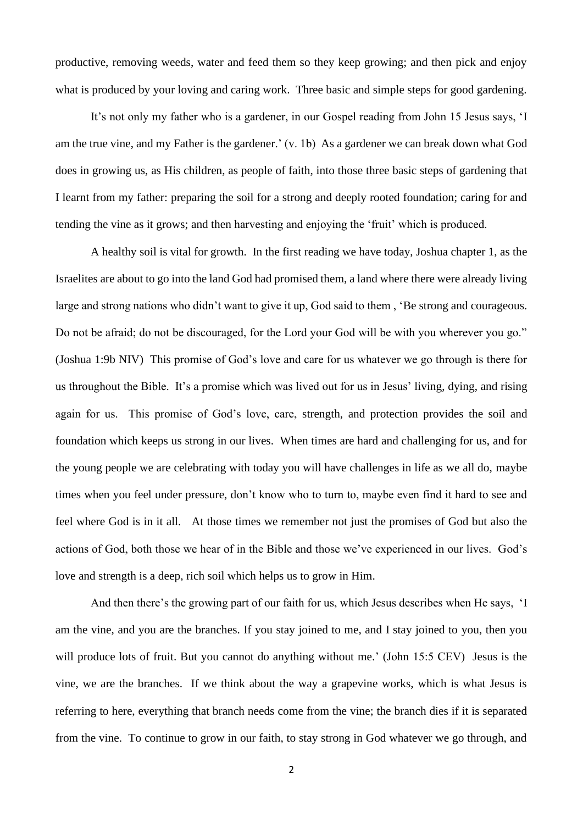productive, removing weeds, water and feed them so they keep growing; and then pick and enjoy what is produced by your loving and caring work. Three basic and simple steps for good gardening.

It's not only my father who is a gardener, in our Gospel reading from John 15 Jesus says, 'I am the true vine, and my Father is the gardener.' (v. 1b) As a gardener we can break down what God does in growing us, as His children, as people of faith, into those three basic steps of gardening that I learnt from my father: preparing the soil for a strong and deeply rooted foundation; caring for and tending the vine as it grows; and then harvesting and enjoying the 'fruit' which is produced.

A healthy soil is vital for growth. In the first reading we have today, Joshua chapter 1, as the Israelites are about to go into the land God had promised them, a land where there were already living large and strong nations who didn't want to give it up, God said to them , 'Be strong and courageous. Do not be afraid; do not be discouraged, for the Lord your God will be with you wherever you go." (Joshua 1:9b NIV) This promise of God's love and care for us whatever we go through is there for us throughout the Bible. It's a promise which was lived out for us in Jesus' living, dying, and rising again for us. This promise of God's love, care, strength, and protection provides the soil and foundation which keeps us strong in our lives. When times are hard and challenging for us, and for the young people we are celebrating with today you will have challenges in life as we all do, maybe times when you feel under pressure, don't know who to turn to, maybe even find it hard to see and feel where God is in it all. At those times we remember not just the promises of God but also the actions of God, both those we hear of in the Bible and those we've experienced in our lives. God's love and strength is a deep, rich soil which helps us to grow in Him.

And then there's the growing part of our faith for us, which Jesus describes when He says, 'I am the vine, and you are the branches. If you stay joined to me, and I stay joined to you, then you will produce lots of fruit. But you cannot do anything without me.' (John 15:5 CEV) Jesus is the vine, we are the branches. If we think about the way a grapevine works, which is what Jesus is referring to here, everything that branch needs come from the vine; the branch dies if it is separated from the vine. To continue to grow in our faith, to stay strong in God whatever we go through, and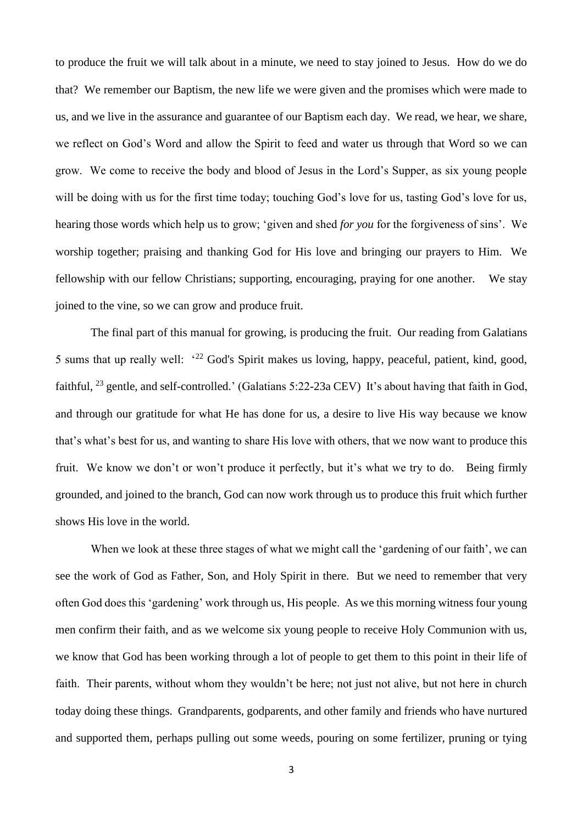to produce the fruit we will talk about in a minute, we need to stay joined to Jesus. How do we do that? We remember our Baptism, the new life we were given and the promises which were made to us, and we live in the assurance and guarantee of our Baptism each day. We read, we hear, we share, we reflect on God's Word and allow the Spirit to feed and water us through that Word so we can grow. We come to receive the body and blood of Jesus in the Lord's Supper, as six young people will be doing with us for the first time today; touching God's love for us, tasting God's love for us, hearing those words which help us to grow; 'given and shed *for you* for the forgiveness of sins'. We worship together; praising and thanking God for His love and bringing our prayers to Him. We fellowship with our fellow Christians; supporting, encouraging, praying for one another. We stay joined to the vine, so we can grow and produce fruit.

The final part of this manual for growing, is producing the fruit. Our reading from Galatians 5 sums that up really well: '<sup>22</sup> God's Spirit makes us loving, happy, peaceful, patient, kind, good, faithful, <sup>23</sup> gentle, and self-controlled.' (Galatians 5:22-23a CEV) It's about having that faith in God, and through our gratitude for what He has done for us, a desire to live His way because we know that's what's best for us, and wanting to share His love with others, that we now want to produce this fruit. We know we don't or won't produce it perfectly, but it's what we try to do. Being firmly grounded, and joined to the branch, God can now work through us to produce this fruit which further shows His love in the world.

When we look at these three stages of what we might call the 'gardening of our faith', we can see the work of God as Father, Son, and Holy Spirit in there. But we need to remember that very often God does this 'gardening' work through us, His people. As we this morning witness four young men confirm their faith, and as we welcome six young people to receive Holy Communion with us, we know that God has been working through a lot of people to get them to this point in their life of faith. Their parents, without whom they wouldn't be here; not just not alive, but not here in church today doing these things. Grandparents, godparents, and other family and friends who have nurtured and supported them, perhaps pulling out some weeds, pouring on some fertilizer, pruning or tying